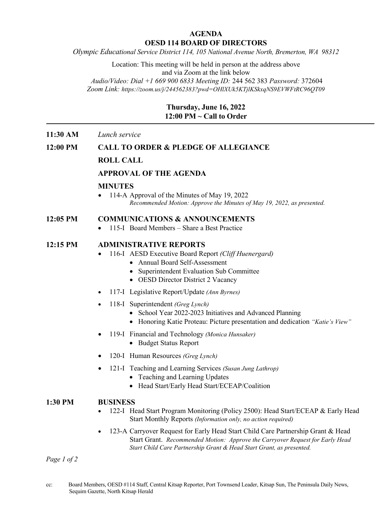# **AGENDA OESD 114 BOARD OF DIRECTORS**

*Olympic Educational Service District 114, 105 National Avenue North, Bremerton, WA 98312*

Location: This meeting will be held in person at the address above and via Zoom at the link below *Audio/Video: Dial +1 669 900 6833 Meeting ID:* 244 562 383 *Password:* 372604

*Zoom Link:<https://zoom.us/j/244562383?pwd=OHlXUk5KTjlKSkxqNS9EVWFtRC96QT09>*

# **Thursday, June 16, 2022 12:00 PM ~ Call to Order**

## **11:30 AM** *Lunch service*

## **12:00 PM CALL TO ORDER & PLEDGE OF ALLEGIANCE**

# **ROLL CALL**

# **APPROVAL OF THE AGENDA**

#### **MINUTES**

• 114-A Approval of the Minutes of May 19, 2022 *Recommended Motion: Approve the Minutes of May 19, 2022, as presented.*

## **12:05 PM COMMUNICATIONS & ANNOUNCEMENTS**

• 115-I Board Members – Share a Best Practice

## **12:15 PM ADMINISTRATIVE REPORTS**

- 116-I AESD Executive Board Report *(Cliff Huenergard)* 
	- Annual Board Self-Assessment
	- Superintendent Evaluation Sub Committee
	- OESD Director District 2 Vacancy
- 117-I Legislative Report/Update *(Ann Byrnes)*
- 118-I Superintendent *(Greg Lynch)*
	- School Year 2022-2023 Initiatives and Advanced Planning
	- Honoring Katie Proteau: Picture presentation and dedication *"Katie's View"*
- 119-I Financial and Technology *(Monica Hunsaker)*
	- Budget Status Report
- 120-I Human Resources *(Greg Lynch)*
- 121-I Teaching and Learning Services *(Susan Jung Lathrop)*
	- Teaching and Learning Updates
	- Head Start/Early Head Start/ECEAP/Coalition

#### **1:30 PM BUSINESS**

- 122-I Head Start Program Monitoring (Policy 2500): Head Start/ECEAP & Early Head Start Monthly Reports *(Information only, no action required)*
- 123-A Carryover Request for Early Head Start Child Care Partnership Grant & Head Start Grant. *Recommended Motion: Approve the Carryover Request for Early Head Start Child Care Partnership Grant & Head Start Grant, as presented.*

*Page 1 of 2*

cc: Board Members, OESD #114 Staff, Central Kitsap Reporter, Port Townsend Leader, Kitsap Sun, The Peninsula Daily News, Sequim Gazette, North Kitsap Herald